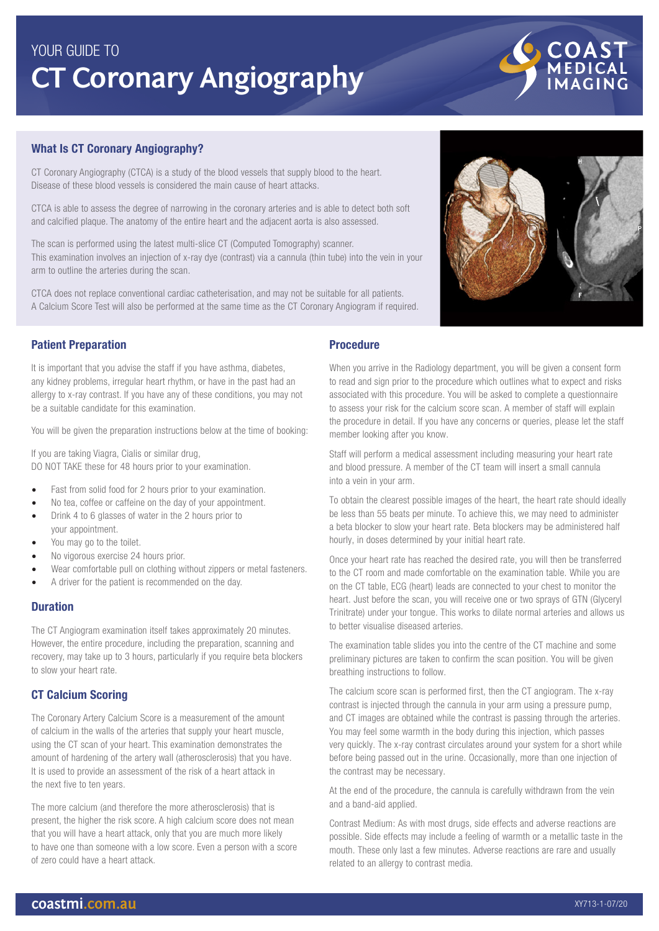# **CT Coronary Angiography** YOUR GUIDE TO

# What Is CT Coronary Angiography?

CT Coronary Angiography (CTCA) is a study of the blood vessels that supply blood to the heart. Disease of these blood vessels is considered the main cause of heart attacks.

CTCA is able to assess the degree of narrowing in the coronary arteries and is able to detect both soft and calcified plaque. The anatomy of the entire heart and the adjacent aorta is also assessed.

The scan is performed using the latest multi-slice CT (Computed Tomography) scanner. This examination involves an injection of x-ray dye (contrast) via a cannula (thin tube) into the vein in your arm to outline the arteries during the scan.

CTCA does not replace conventional cardiac catheterisation, and may not be suitable for all patients. A Calcium Score Test will also be performed at the same time as the CT Coronary Angiogram if required.

# Patient Preparation

It is important that you advise the staff if you have asthma, diabetes, any kidney problems, irregular heart rhythm, or have in the past had an allergy to x-ray contrast. If you have any of these conditions, you may not be a suitable candidate for this examination.

You will be given the preparation instructions below at the time of booking:

If you are taking Viagra, Cialis or similar drug, DO NOT TAKE these for 48 hours prior to your examination.

- Fast from solid food for 2 hours prior to your examination.
- No tea, coffee or caffeine on the day of your appointment.
- Drink 4 to 6 glasses of water in the 2 hours prior to your appointment.
- You may go to the toilet.
- No vigorous exercise 24 hours prior.
- Wear comfortable pull on clothing without zippers or metal fasteners.
- A driver for the patient is recommended on the day.

### Duration

The CT Angiogram examination itself takes approximately 20 minutes. However, the entire procedure, including the preparation, scanning and recovery, may take up to 3 hours, particularly if you require beta blockers to slow your heart rate.

## CT Calcium Scoring

The Coronary Artery Calcium Score is a measurement of the amount of calcium in the walls of the arteries that supply your heart muscle, using the CT scan of your heart. This examination demonstrates the amount of hardening of the artery wall (atherosclerosis) that you have. It is used to provide an assessment of the risk of a heart attack in the next five to ten years.

The more calcium (and therefore the more atherosclerosis) that is present, the higher the risk score. A high calcium score does not mean that you will have a heart attack, only that you are much more likely to have one than someone with a low score. Even a person with a score of zero could have a heart attack.

## Procedure

When you arrive in the Radiology department, you will be given a consent form to read and sign prior to the procedure which outlines what to expect and risks associated with this procedure. You will be asked to complete a questionnaire to assess your risk for the calcium score scan. A member of staff will explain the procedure in detail. If you have any concerns or queries, please let the staff member looking after you know.

Staff will perform a medical assessment including measuring your heart rate and blood pressure. A member of the CT team will insert a small cannula into a vein in your arm.

To obtain the clearest possible images of the heart, the heart rate should ideally be less than 55 beats per minute. To achieve this, we may need to administer a beta blocker to slow your heart rate. Beta blockers may be administered half hourly, in doses determined by your initial heart rate.

Once your heart rate has reached the desired rate, you will then be transferred to the CT room and made comfortable on the examination table. While you are on the CT table, ECG (heart) leads are connected to your chest to monitor the heart. Just before the scan, you will receive one or two sprays of GTN (Glyceryl Trinitrate) under your tongue. This works to dilate normal arteries and allows us to better visualise diseased arteries.

The examination table slides you into the centre of the CT machine and some preliminary pictures are taken to confirm the scan position. You will be given breathing instructions to follow.

The calcium score scan is performed first, then the CT angiogram. The x-ray contrast is injected through the cannula in your arm using a pressure pump, and CT images are obtained while the contrast is passing through the arteries. You may feel some warmth in the body during this injection, which passes very quickly. The x-ray contrast circulates around your system for a short while before being passed out in the urine. Occasionally, more than one injection of the contrast may be necessary.

At the end of the procedure, the cannula is carefully withdrawn from the vein and a band-aid applied.

Contrast Medium: As with most drugs, side effects and adverse reactions are possible. Side effects may include a feeling of warmth or a metallic taste in the mouth. These only last a few minutes. Adverse reactions are rare and usually related to an allergy to contrast media.

## XY713-1-07/20



COAST<br>MEDICAL